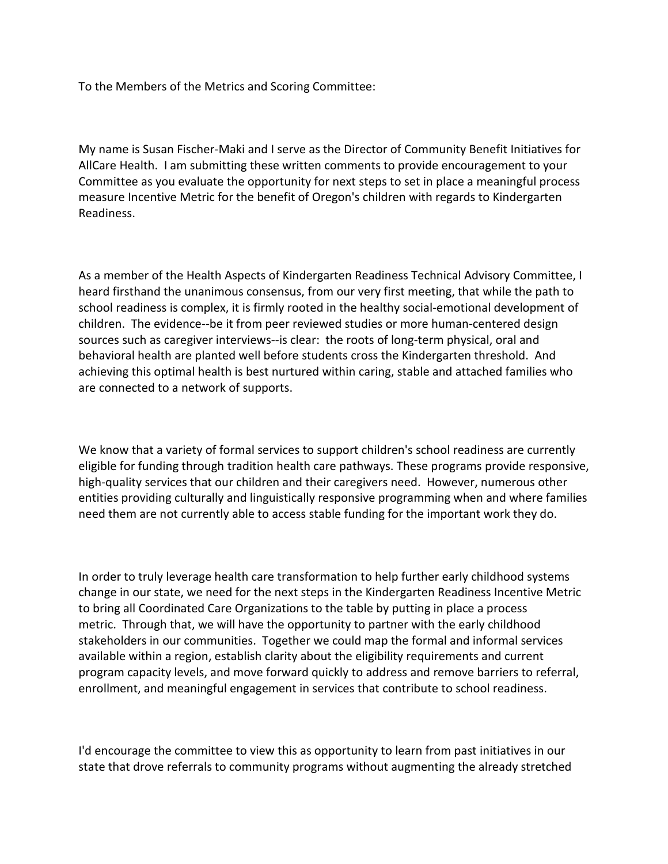To the Members of the Metrics and Scoring Committee:

My name is Susan Fischer-Maki and I serve as the Director of Community Benefit Initiatives for AllCare Health. I am submitting these written comments to provide encouragement to your Committee as you evaluate the opportunity for next steps to set in place a meaningful process measure Incentive Metric for the benefit of Oregon's children with regards to Kindergarten Readiness.

As a member of the Health Aspects of Kindergarten Readiness Technical Advisory Committee, I heard firsthand the unanimous consensus, from our very first meeting, that while the path to school readiness is complex, it is firmly rooted in the healthy social-emotional development of children. The evidence--be it from peer reviewed studies or more human-centered design sources such as caregiver interviews--is clear: the roots of long-term physical, oral and behavioral health are planted well before students cross the Kindergarten threshold. And achieving this optimal health is best nurtured within caring, stable and attached families who are connected to a network of supports.

We know that a variety of formal services to support children's school readiness are currently eligible for funding through tradition health care pathways. These programs provide responsive, high-quality services that our children and their caregivers need. However, numerous other entities providing culturally and linguistically responsive programming when and where families need them are not currently able to access stable funding for the important work they do.

In order to truly leverage health care transformation to help further early childhood systems change in our state, we need for the next steps in the Kindergarten Readiness Incentive Metric to bring all Coordinated Care Organizations to the table by putting in place a process metric. Through that, we will have the opportunity to partner with the early childhood stakeholders in our communities. Together we could map the formal and informal services available within a region, establish clarity about the eligibility requirements and current program capacity levels, and move forward quickly to address and remove barriers to referral, enrollment, and meaningful engagement in services that contribute to school readiness.

I'd encourage the committee to view this as opportunity to learn from past initiatives in our state that drove referrals to community programs without augmenting the already stretched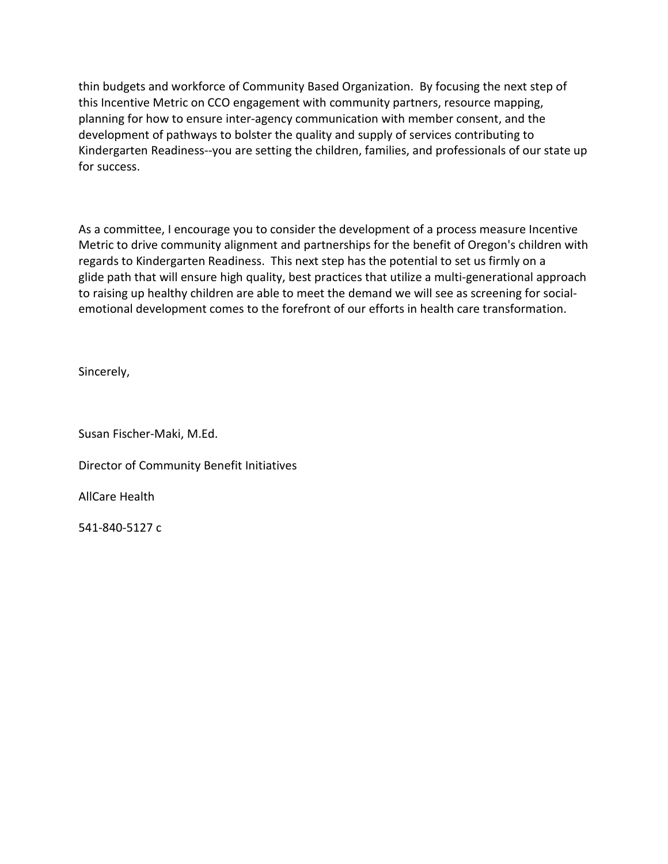thin budgets and workforce of Community Based Organization. By focusing the next step of this Incentive Metric on CCO engagement with community partners, resource mapping, planning for how to ensure inter-agency communication with member consent, and the development of pathways to bolster the quality and supply of services contributing to Kindergarten Readiness--you are setting the children, families, and professionals of our state up for success.

As a committee, I encourage you to consider the development of a process measure Incentive Metric to drive community alignment and partnerships for the benefit of Oregon's children with regards to Kindergarten Readiness. This next step has the potential to set us firmly on a glide path that will ensure high quality, best practices that utilize a multi-generational approach to raising up healthy children are able to meet the demand we will see as screening for socialemotional development comes to the forefront of our efforts in health care transformation.

Sincerely,

Susan Fischer-Maki, M.Ed.

Director of Community Benefit Initiatives

AllCare Health

541-840-5127 c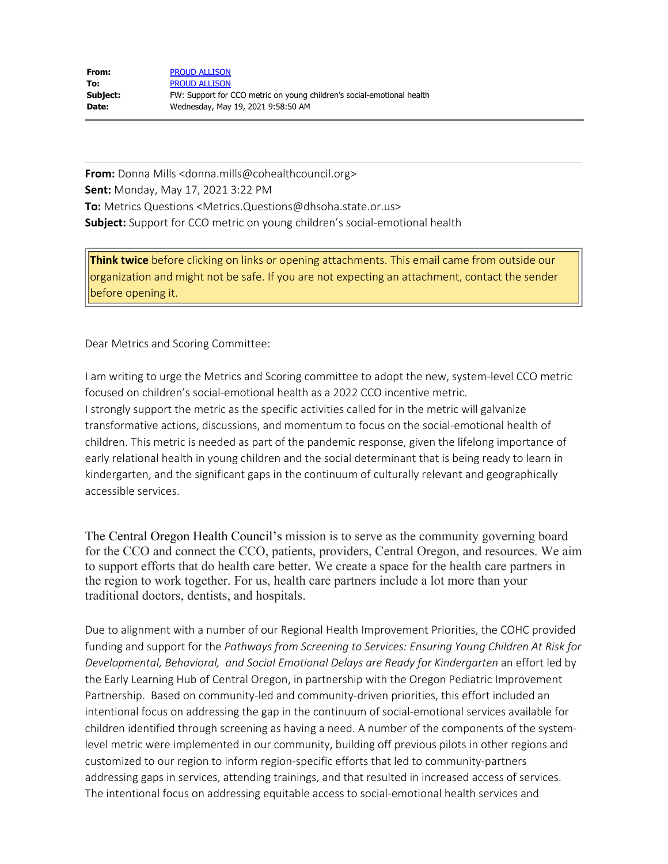| From:    | <b>PROUD ALLISON</b>                                                   |
|----------|------------------------------------------------------------------------|
| To:      | <b>PROUD ALLISON</b>                                                   |
| Subject: | FW: Support for CCO metric on young children's social-emotional health |
| Date:    | Wednesday, May 19, 2021 9:58:50 AM                                     |

**From:** Donna Mills <donna.mills@cohealthcouncil.org> **Sent:** Monday, May 17, 2021 3:22 PM **To:** Metrics Questions <Metrics.Questions@dhsoha.state.or.us> **Subject:** Support for CCO metric on young children's social-emotional health

**Think twice** before clicking on links or opening attachments. This email came from outside our organization and might not be safe. If you are not expecting an attachment, contact the sender before opening it.

Dear Metrics and Scoring Committee:

I am writing to urge the Metrics and Scoring committee to adopt the new, system-level CCO metric focused on children's social-emotional health as a 2022 CCO incentive metric. I strongly support the metric as the specific activities called for in the metric will galvanize transformative actions, discussions, and momentum to focus on the social-emotional health of children. This metric is needed as part of the pandemic response, given the lifelong importance of early relational health in young children and the social determinant that is being ready to learn in kindergarten, and the significant gaps in the continuum of culturally relevant and geographically accessible services.

The Central Oregon Health Council's mission is to serve as the community governing board for the CCO and connect the CCO, patients, providers, Central Oregon, and resources. We aim to support efforts that do health care better. We create a space for the health care partners in the region to work together. For us, health care partners include a lot more than your traditional doctors, dentists, and hospitals.

Due to alignment with a number of our Regional Health Improvement Priorities, the COHC provided funding and support for the *Pathways from Screening to Services: Ensuring Young Children At Risk for Developmental, Behavioral, and Social Emotional Delays are Ready for Kindergarten* an effort led by the Early Learning Hub of Central Oregon, in partnership with the Oregon Pediatric Improvement Partnership. Based on community-led and community-driven priorities, this effort included an intentional focus on addressing the gap in the continuum of social-emotional services available for children identified through screening as having a need. A number of the components of the systemlevel metric were implemented in our community, building off previous pilots in other regions and customized to our region to inform region-specific efforts that led to community-partners addressing gaps in services, attending trainings, and that resulted in increased access of services. The intentional focus on addressing equitable access to social-emotional health services and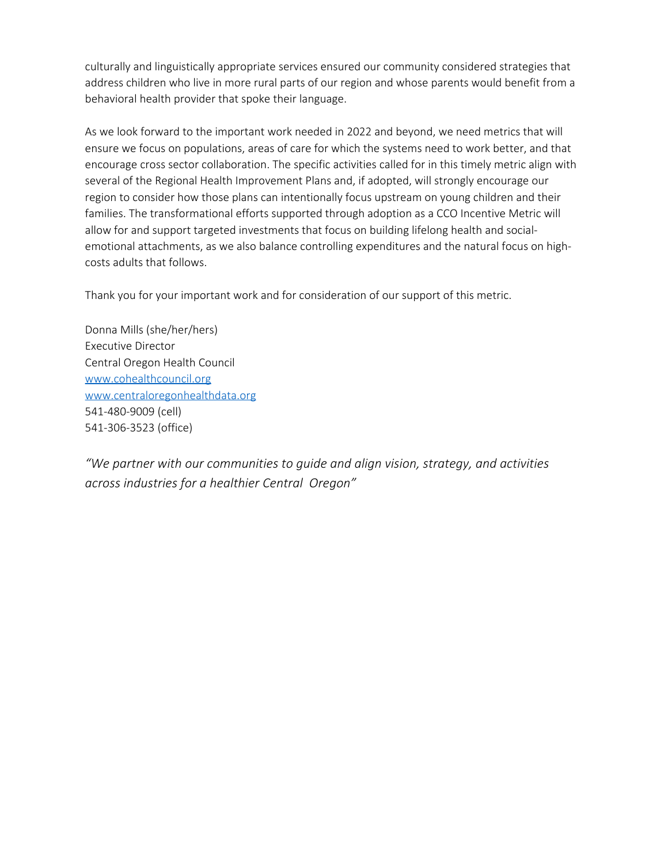culturally and linguistically appropriate services ensured our community considered strategies that address children who live in more rural parts of our region and whose parents would benefit from a behavioral health provider that spoke their language.

As we look forward to the important work needed in 2022 and beyond, we need metrics that will ensure we focus on populations, areas of care for which the systems need to work better, and that encourage cross sector collaboration. The specific activities called for in this timely metric align with several of the Regional Health Improvement Plans and, if adopted, will strongly encourage our region to consider how those plans can intentionally focus upstream on young children and their families. The transformational efforts supported through adoption as a CCO Incentive Metric will allow for and support targeted investments that focus on building lifelong health and socialemotional attachments, as we also balance controlling expenditures and the natural focus on highcosts adults that follows.

Thank you for your important work and for consideration of our support of this metric.

Donna Mills (she/her/hers) Executive Director Central Oregon Health Council [www.cohealthcouncil.org](https://urldefense.com/v3/__http:/www.cohealthcouncil.org__;!!OxGzbBZ6!Ij3hJtptO2ae6tj678k1ZNMBmbj7FILK32iuhgtbY20ZLfLk_ZhmVxkcS8H8a0XVZ0Pg-vSfsv_Qdfc$) [www.centraloregonhealthdata.org](https://urldefense.com/v3/__http:/www.centraloregonhealthdata.org__;!!OxGzbBZ6!Ij3hJtptO2ae6tj678k1ZNMBmbj7FILK32iuhgtbY20ZLfLk_ZhmVxkcS8H8a0XVZ0Pg-vSfvUDMpKA$) 541-480-9009 (cell) 541-306-3523 (office)

*"We partner with our communities to guide and align vision, strategy, and activities across industries for a healthier Central Oregon"*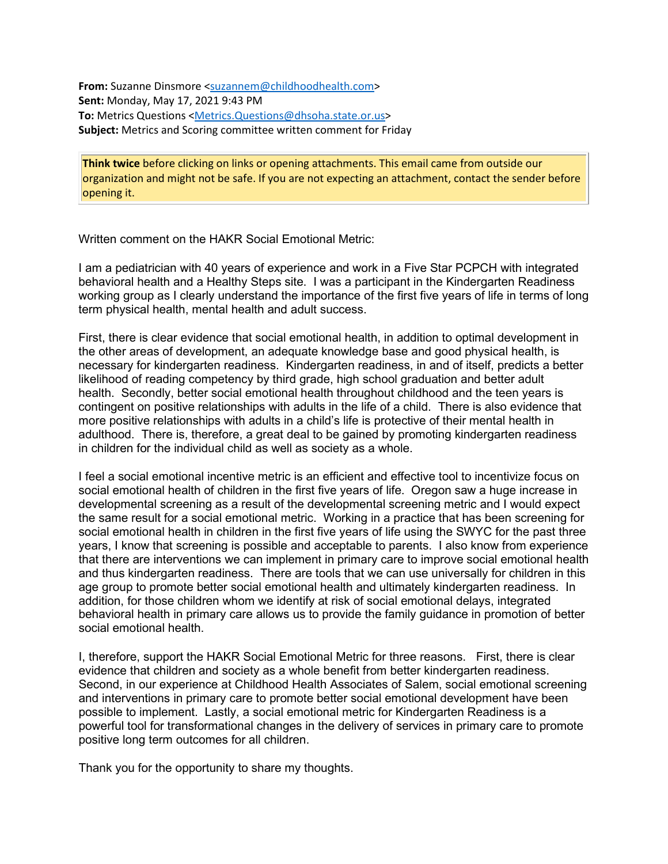From: Suzanne Dinsmore [<suzannem@childhoodhealth.com>](mailto:suzannem@childhoodhealth.com) **Sent:** Monday, May 17, 2021 9:43 PM **To:** Metrics Questions [<Metrics.Questions@dhsoha.state.or.us>](mailto:Metrics.Questions@dhsoha.state.or.us) **Subject:** Metrics and Scoring committee written comment for Friday

**Think twice** before clicking on links or opening attachments. This email came from outside our organization and might not be safe. If you are not expecting an attachment, contact the sender before opening it.

Written comment on the HAKR Social Emotional Metric:

I am a pediatrician with 40 years of experience and work in a Five Star PCPCH with integrated behavioral health and a Healthy Steps site. I was a participant in the Kindergarten Readiness working group as I clearly understand the importance of the first five years of life in terms of long term physical health, mental health and adult success.

First, there is clear evidence that social emotional health, in addition to optimal development in the other areas of development, an adequate knowledge base and good physical health, is necessary for kindergarten readiness. Kindergarten readiness, in and of itself, predicts a better likelihood of reading competency by third grade, high school graduation and better adult health. Secondly, better social emotional health throughout childhood and the teen years is contingent on positive relationships with adults in the life of a child. There is also evidence that more positive relationships with adults in a child's life is protective of their mental health in adulthood. There is, therefore, a great deal to be gained by promoting kindergarten readiness in children for the individual child as well as society as a whole.

I feel a social emotional incentive metric is an efficient and effective tool to incentivize focus on social emotional health of children in the first five years of life. Oregon saw a huge increase in developmental screening as a result of the developmental screening metric and I would expect the same result for a social emotional metric. Working in a practice that has been screening for social emotional health in children in the first five years of life using the SWYC for the past three years, I know that screening is possible and acceptable to parents. I also know from experience that there are interventions we can implement in primary care to improve social emotional health and thus kindergarten readiness. There are tools that we can use universally for children in this age group to promote better social emotional health and ultimately kindergarten readiness. In addition, for those children whom we identify at risk of social emotional delays, integrated behavioral health in primary care allows us to provide the family guidance in promotion of better social emotional health.

I, therefore, support the HAKR Social Emotional Metric for three reasons. First, there is clear evidence that children and society as a whole benefit from better kindergarten readiness. Second, in our experience at Childhood Health Associates of Salem, social emotional screening and interventions in primary care to promote better social emotional development have been possible to implement. Lastly, a social emotional metric for Kindergarten Readiness is a powerful tool for transformational changes in the delivery of services in primary care to promote positive long term outcomes for all children.

Thank you for the opportunity to share my thoughts.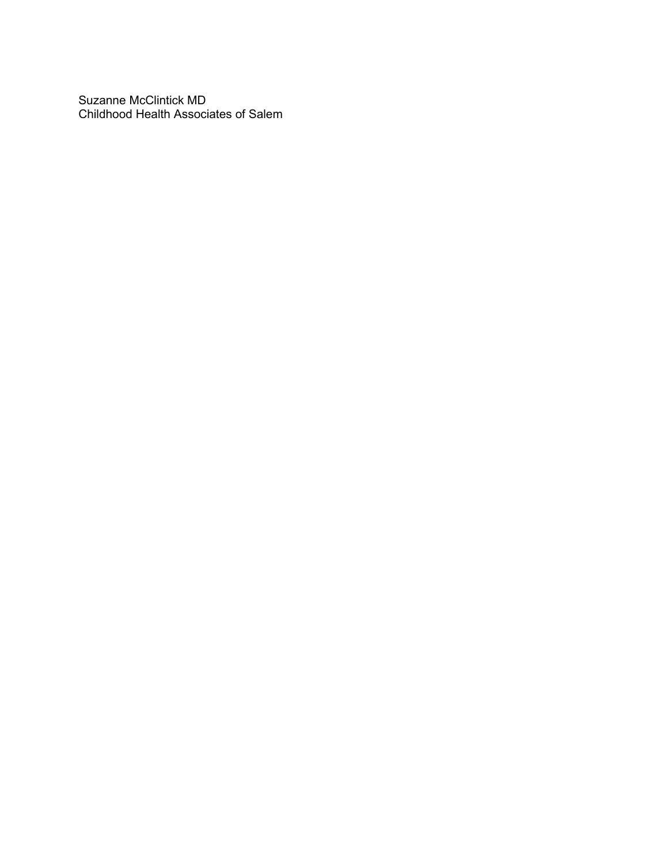Suzanne McClintick MD Childhood Health Associates of Salem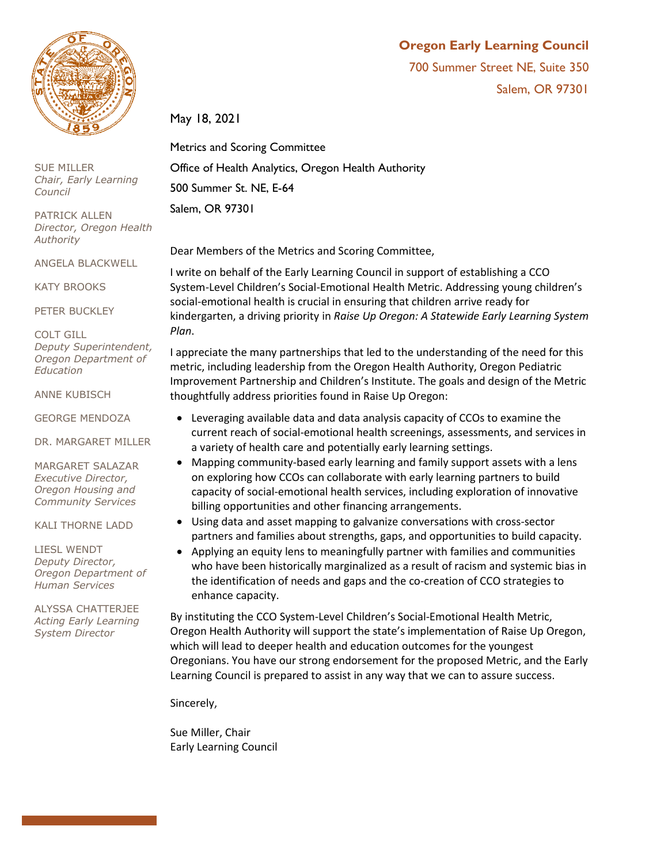

SUE MILLER *Chair, Early Learning Council*

PATRICK ALLEN *Director, Oregon Health Authority*

ANGELA BLACKWELL

KATY BROOKS

PETER BUCKLEY

COLT GILL *Deputy Superintendent, Oregon Department of Education*

ANNE KUBISCH

GEORGE MENDOZA

DR. MARGARET MILLER

MARGARET SALAZAR *Executive Director, Oregon Housing and Community Services*

KALI THORNE LADD

LIESL WENDT *Deputy Director, Oregon Department of Human Services*

ALYSSA CHATTERJEE *Acting Early Learning System Director*

### **Oregon Early Learning Council**

700 Summer Street NE, Suite 350 Salem, OR 97301

May 18, 2021

Metrics and Scoring Committee Office of Health Analytics, Oregon Health Authority 500 Summer St. NE, E-64 Salem, OR 97301

Dear Members of the Metrics and Scoring Committee,

I write on behalf of the Early Learning Council in support of establishing a CCO System-Level Children's Social-Emotional Health Metric. Addressing young children's social-emotional health is crucial in ensuring that children arrive ready for kindergarten, a driving priority in *Raise Up Oregon: A Statewide Early Learning System Plan*.

I appreciate the many partnerships that led to the understanding of the need for this metric, including leadership from the Oregon Health Authority, Oregon Pediatric Improvement Partnership and Children's Institute. The goals and design of the Metric thoughtfully address priorities found in Raise Up Oregon:

- Leveraging available data and data analysis capacity of CCOs to examine the current reach of social-emotional health screenings, assessments, and services in a variety of health care and potentially early learning settings.
- Mapping community-based early learning and family support assets with a lens on exploring how CCOs can collaborate with early learning partners to build capacity of social-emotional health services, including exploration of innovative billing opportunities and other financing arrangements.
- Using data and asset mapping to galvanize conversations with cross-sector partners and families about strengths, gaps, and opportunities to build capacity.
- Applying an equity lens to meaningfully partner with families and communities who have been historically marginalized as a result of racism and systemic bias in the identification of needs and gaps and the co-creation of CCO strategies to enhance capacity.

By instituting the CCO System-Level Children's Social-Emotional Health Metric, Oregon Health Authority will support the state's implementation of Raise Up Oregon, which will lead to deeper health and education outcomes for the youngest Oregonians. You have our strong endorsement for the proposed Metric, and the Early Learning Council is prepared to assist in any way that we can to assure success.

Sincerely,

Sue Miller, Chair Early Learning Council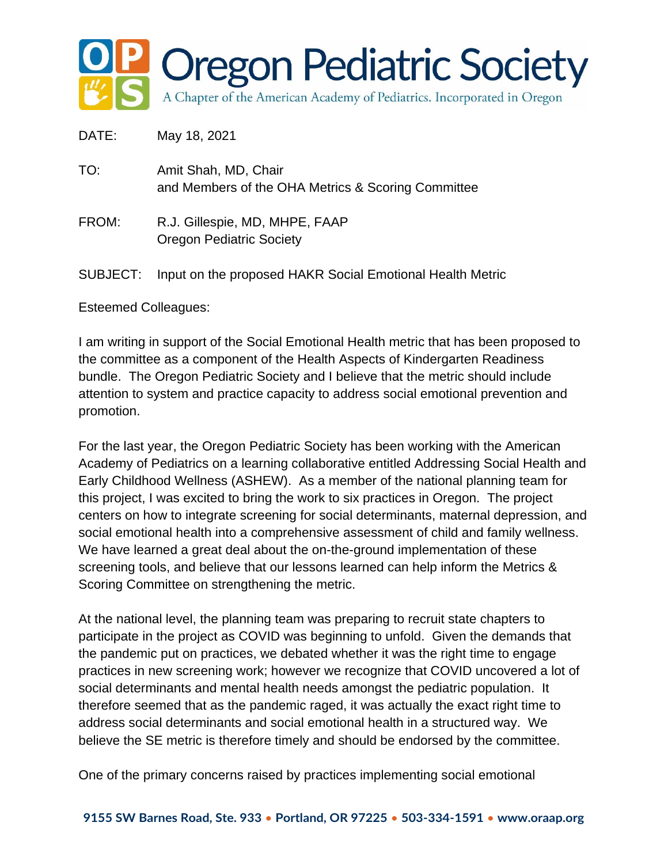

DATE: May 18, 2021 TO: Amit Shah, MD, Chair and Members of the OHA Metrics & Scoring Committee FROM: R.J. Gillespie, MD, MHPE, FAAP Oregon Pediatric Society SUBJECT: Input on the proposed HAKR Social Emotional Health Metric

Esteemed Colleagues:

I am writing in support of the Social Emotional Health metric that has been proposed to the committee as a component of the Health Aspects of Kindergarten Readiness bundle. The Oregon Pediatric Society and I believe that the metric should include attention to system and practice capacity to address social emotional prevention and promotion.

For the last year, the Oregon Pediatric Society has been working with the American Academy of Pediatrics on a learning collaborative entitled Addressing Social Health and Early Childhood Wellness (ASHEW). As a member of the national planning team for this project, I was excited to bring the work to six practices in Oregon. The project centers on how to integrate screening for social determinants, maternal depression, and social emotional health into a comprehensive assessment of child and family wellness. We have learned a great deal about the on-the-ground implementation of these screening tools, and believe that our lessons learned can help inform the Metrics & Scoring Committee on strengthening the metric.

At the national level, the planning team was preparing to recruit state chapters to participate in the project as COVID was beginning to unfold. Given the demands that the pandemic put on practices, we debated whether it was the right time to engage practices in new screening work; however we recognize that COVID uncovered a lot of social determinants and mental health needs amongst the pediatric population. It therefore seemed that as the pandemic raged, it was actually the exact right time to address social determinants and social emotional health in a structured way. We believe the SE metric is therefore timely and should be endorsed by the committee.

One of the primary concerns raised by practices implementing social emotional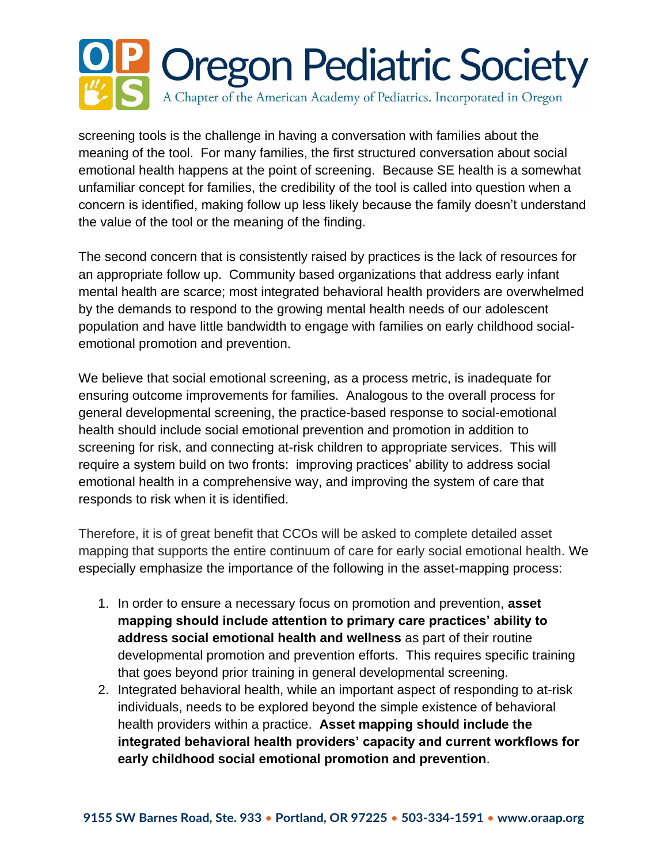

screening tools is the challenge in having a conversation with families about the meaning of the tool. For many families, the first structured conversation about social emotional health happens at the point of screening. Because SE health is a somewhat unfamiliar concept for families, the credibility of the tool is called into question when a concern is identified, making follow up less likely because the family doesn't understand the value of the tool or the meaning of the finding.

The second concern that is consistently raised by practices is the lack of resources for an appropriate follow up. Community based organizations that address early infant mental health are scarce; most integrated behavioral health providers are overwhelmed by the demands to respond to the growing mental health needs of our adolescent population and have little bandwidth to engage with families on early childhood socialemotional promotion and prevention.

We believe that social emotional screening, as a process metric, is inadequate for ensuring outcome improvements for families. Analogous to the overall process for general developmental screening, the practice-based response to social-emotional health should include social emotional prevention and promotion in addition to screening for risk, and connecting at-risk children to appropriate services. This will require a system build on two fronts: improving practices' ability to address social emotional health in a comprehensive way, and improving the system of care that responds to risk when it is identified.

Therefore, it is of great benefit that CCOs will be asked to complete detailed asset mapping that supports the entire continuum of care for early social emotional health. We especially emphasize the importance of the following in the asset-mapping process:

- 1. In order to ensure a necessary focus on promotion and prevention, **asset mapping should include attention to primary care practices' ability to address social emotional health and wellness** as part of their routine developmental promotion and prevention efforts. This requires specific training that goes beyond prior training in general developmental screening.
- 2. Integrated behavioral health, while an important aspect of responding to at-risk individuals, needs to be explored beyond the simple existence of behavioral health providers within a practice. **Asset mapping should include the integrated behavioral health providers' capacity and current workflows for early childhood social emotional promotion and prevention**.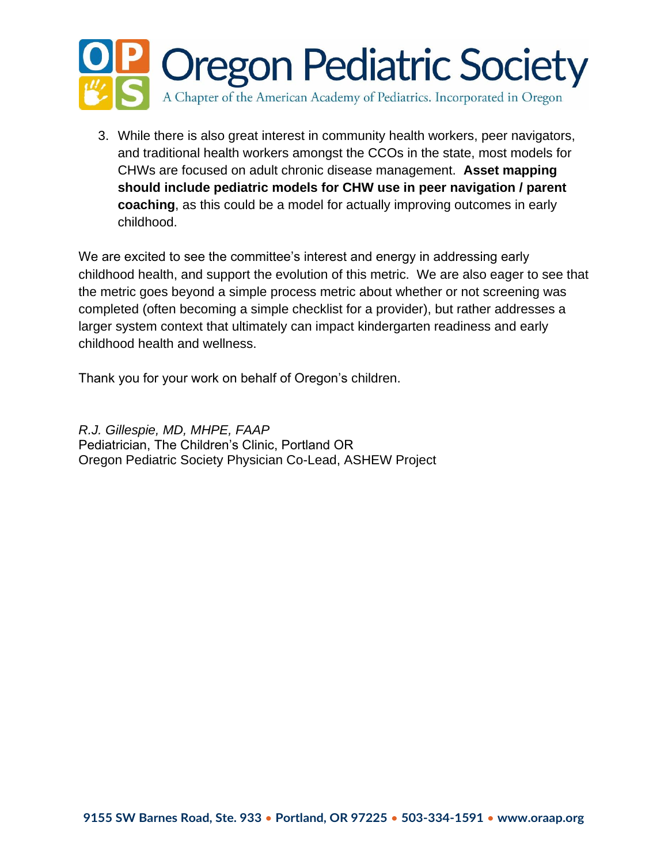

3. While there is also great interest in community health workers, peer navigators, and traditional health workers amongst the CCOs in the state, most models for CHWs are focused on adult chronic disease management. **Asset mapping should include pediatric models for CHW use in peer navigation / parent coaching**, as this could be a model for actually improving outcomes in early childhood.

We are excited to see the committee's interest and energy in addressing early childhood health, and support the evolution of this metric. We are also eager to see that the metric goes beyond a simple process metric about whether or not screening was completed (often becoming a simple checklist for a provider), but rather addresses a larger system context that ultimately can impact kindergarten readiness and early childhood health and wellness.

Thank you for your work on behalf of Oregon's children.

*R.J. Gillespie, MD, MHPE, FAAP* Pediatrician, The Children's Clinic, Portland OR Oregon Pediatric Society Physician Co-Lead, ASHEW Project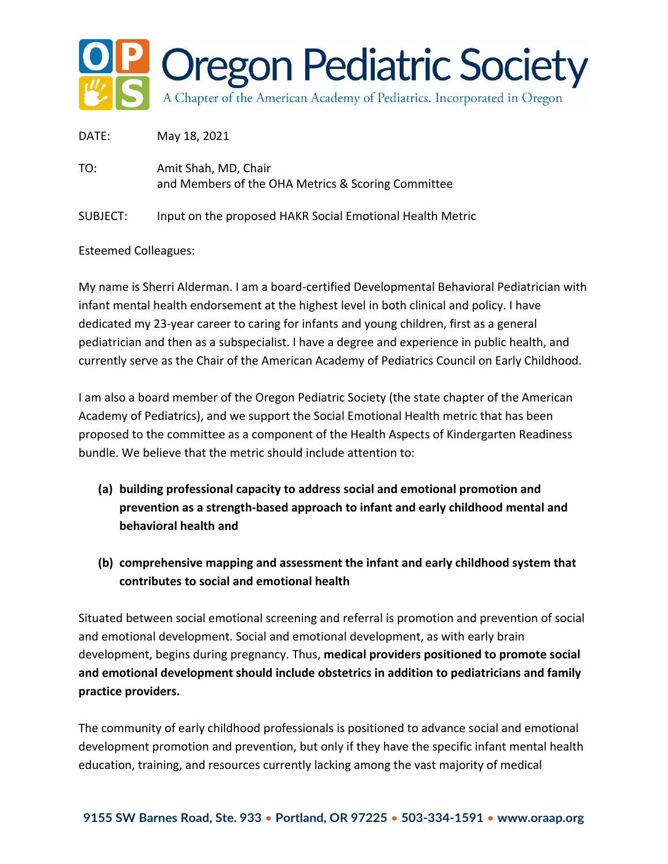

DATE: May 18, 2021

TO: Amit Shah, MD, Chair and Members of the OHA Metrics & Scoring Committee

SUBJECT: Input on the proposed HAKR Social Emotional Health Metric

Esteemed Colleagues:

My name is Sherri Alderman. I am a board-certified Developmental Behavioral Pediatrician with infant mental health endorsement at the highest level in both clinical and policy. I have dedicated my 23-year career to caring for infants and young children, first as a general pediatrician and then as a subspecialist. I have a degree and experience in public health, and currently serve as the Chair of the American Academy of Pediatrics Council on Early Childhood.

I am also a board member of the Oregon Pediatric Society (the state chapter of the American Academy of Pediatrics), and we support the Social Emotional Health metric that has been proposed to the committee as a component of the Health Aspects of Kindergarten Readiness bundle. We believe that the metric should include attention to:

- **(a) building professional capacity to address social and emotional promotion and prevention as a strength-based approach to infant and early childhood mental and behavioral health and**
- **(b) comprehensive mapping and assessment the infant and early childhood system that contributes to social and emotional health**

Situated between social emotional screening and referral is promotion and prevention of social and emotional development. Social and emotional development, as with early brain development, begins during pregnancy. Thus, **medical providers positioned to promote social and emotional development should include obstetrics in addition to pediatricians and family practice providers.** 

The community of early childhood professionals is positioned to advance social and emotional development promotion and prevention, but only if they have the specific infant mental health education, training, and resources currently lacking among the vast majority of medical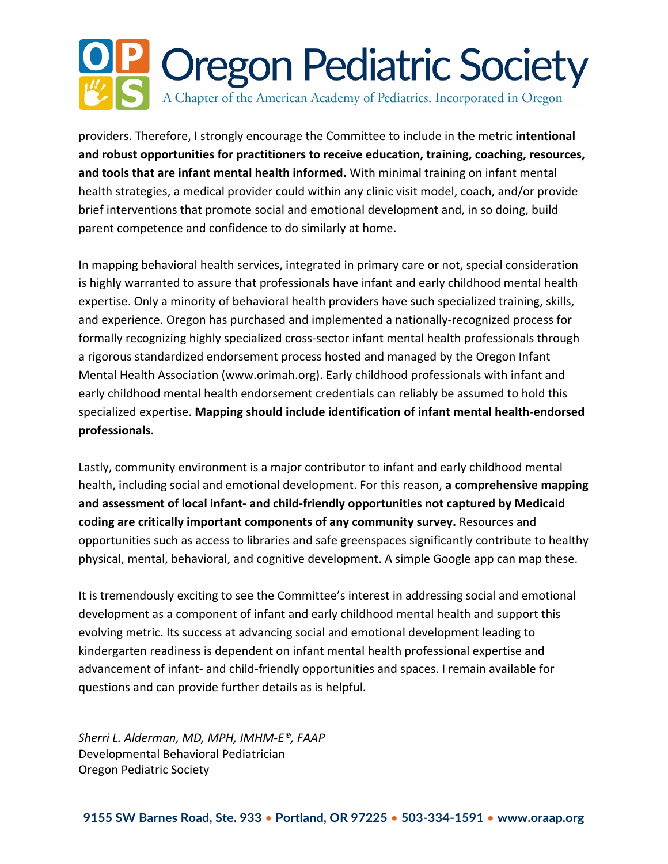# P Oregon Pediatric Society A Chapter of the American Academy of Pediatrics. Incorporated in Oregon

providers. Therefore, I strongly encourage the Committee to include in the metric **intentional and robust opportunities for practitioners to receive education, training, coaching, resources, and tools that are infant mental health informed.** With minimal training on infant mental health strategies, a medical provider could within any clinic visit model, coach, and/or provide brief interventions that promote social and emotional development and, in so doing, build parent competence and confidence to do similarly at home.

In mapping behavioral health services, integrated in primary care or not, special consideration is highly warranted to assure that professionals have infant and early childhood mental health expertise. Only a minority of behavioral health providers have such specialized training, skills, and experience. Oregon has purchased and implemented a nationally-recognized process for formally recognizing highly specialized cross-sector infant mental health professionals through a rigorous standardized endorsement process hosted and managed by the Oregon Infant Mental Health Association [\(www.orimah.org\)](http://www.orimah.org/). Early childhood professionals with infant and early childhood mental health endorsement credentials can reliably be assumed to hold this specialized expertise. **Mapping should include identification of infant mental health-endorsed professionals.**

Lastly, community environment is a major contributor to infant and early childhood mental health, including social and emotional development. For this reason, **a comprehensive mapping and assessment of local infant- and child-friendly opportunities not captured by Medicaid coding are critically important components of any community survey.** Resources and opportunities such as access to libraries and safe greenspaces significantly contribute to healthy physical, mental, behavioral, and cognitive development. A simple Google app can map these.

It is tremendously exciting to see the Committee's interest in addressing social and emotional development as a component of infant and early childhood mental health and support this evolving metric. Its success at advancing social and emotional development leading to kindergarten readiness is dependent on infant mental health professional expertise and advancement of infant- and child-friendly opportunities and spaces. I remain available for questions and can provide further details as is helpful.

*Sherri L. Alderman, MD, MPH, IMHM-E®, FAAP* Developmental Behavioral Pediatrician Oregon Pediatric Society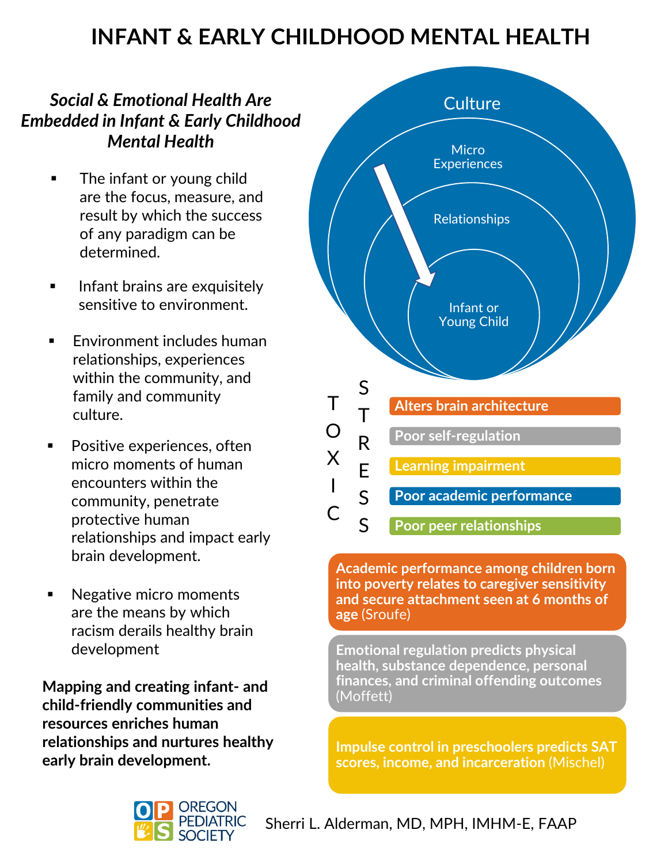## **INFANT & EARLY CHILDHOOD MENTAL HEALTH**

### *Social & Emotional Health Are Embedded in Infant & Early Childhood Mental Health*

- The infant or young child are the focus, measure, and result by which the success of any paradigm can be determined.
- Infant brains are exquisitely sensitive to environment.
- Environment includes human relationships, experiences within the community, and family and community culture.
- Positive experiences, often micro moments of human encounters within the community, penetrate protective human relationships and impact early brain development.
- Negative micro moments are the means by which racism derails healthy brain development

**Mapping and creating infant- and child-friendly communities and resources enriches human relationships and nurtures healthy early brain development.** 



**Academic performance among children born into poverty relates to caregiver sensitivity and secure attachment seen at 6 months of age** (Sroufe)

**Emotional regulation predicts physical health, substance dependence, personal finances, and criminal offending outcomes**  (Moffett)

**Impulse control in preschoolers predicts SAT scores, income, and incarceration** (Mischel)



Sherri L. Alderman, MD, MPH, IMHM-E, FAAP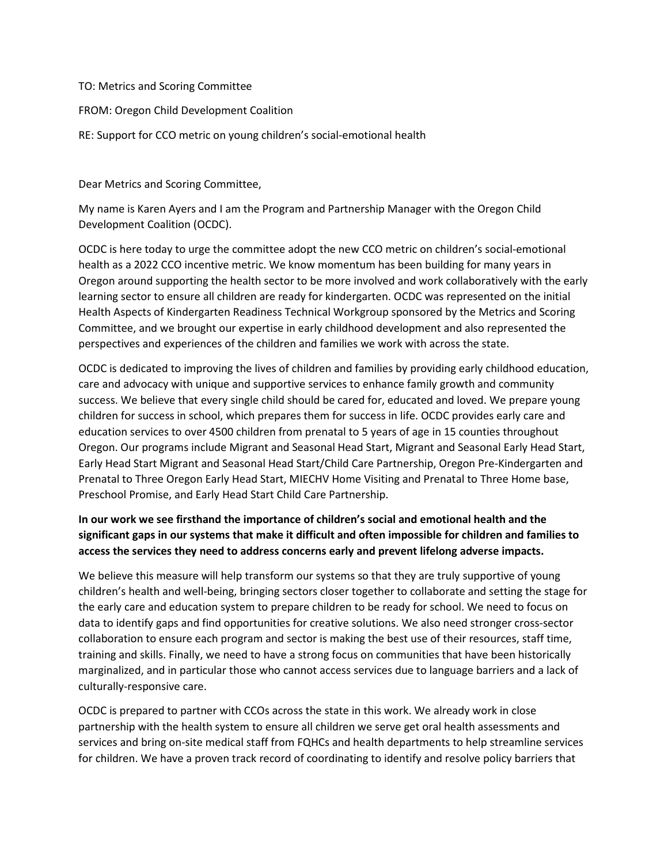TO: Metrics and Scoring Committee

FROM: Oregon Child Development Coalition

RE: Support for CCO metric on young children's social-emotional health

Dear Metrics and Scoring Committee,

My name is Karen Ayers and I am the Program and Partnership Manager with the Oregon Child Development Coalition (OCDC).

OCDC is here today to urge the committee adopt the new CCO metric on children's social-emotional health as a 2022 CCO incentive metric. We know momentum has been building for many years in Oregon around supporting the health sector to be more involved and work collaboratively with the early learning sector to ensure all children are ready for kindergarten. OCDC was represented on the initial Health Aspects of Kindergarten Readiness Technical Workgroup sponsored by the Metrics and Scoring Committee, and we brought our expertise in early childhood development and also represented the perspectives and experiences of the children and families we work with across the state.

OCDC is dedicated to improving the lives of children and families by providing early childhood education, care and advocacy with unique and supportive services to enhance family growth and community success. We believe that every single child should be cared for, educated and loved. We prepare young children for success in school, which prepares them for success in life. OCDC provides early care and education services to over 4500 children from prenatal to 5 years of age in 15 counties throughout Oregon. Our programs include Migrant and Seasonal Head Start, Migrant and Seasonal Early Head Start, Early Head Start Migrant and Seasonal Head Start/Child Care Partnership, Oregon Pre-Kindergarten and Prenatal to Three Oregon Early Head Start, MIECHV Home Visiting and Prenatal to Three Home base, Preschool Promise, and Early Head Start Child Care Partnership.

#### **In our work we see firsthand the importance of children's social and emotional health and the significant gaps in our systems that make it difficult and often impossible for children and families to access the services they need to address concerns early and prevent lifelong adverse impacts.**

We believe this measure will help transform our systems so that they are truly supportive of young children's health and well-being, bringing sectors closer together to collaborate and setting the stage for the early care and education system to prepare children to be ready for school. We need to focus on data to identify gaps and find opportunities for creative solutions. We also need stronger cross-sector collaboration to ensure each program and sector is making the best use of their resources, staff time, training and skills. Finally, we need to have a strong focus on communities that have been historically marginalized, and in particular those who cannot access services due to language barriers and a lack of culturally-responsive care.

OCDC is prepared to partner with CCOs across the state in this work. We already work in close partnership with the health system to ensure all children we serve get oral health assessments and services and bring on-site medical staff from FQHCs and health departments to help streamline services for children. We have a proven track record of coordinating to identify and resolve policy barriers that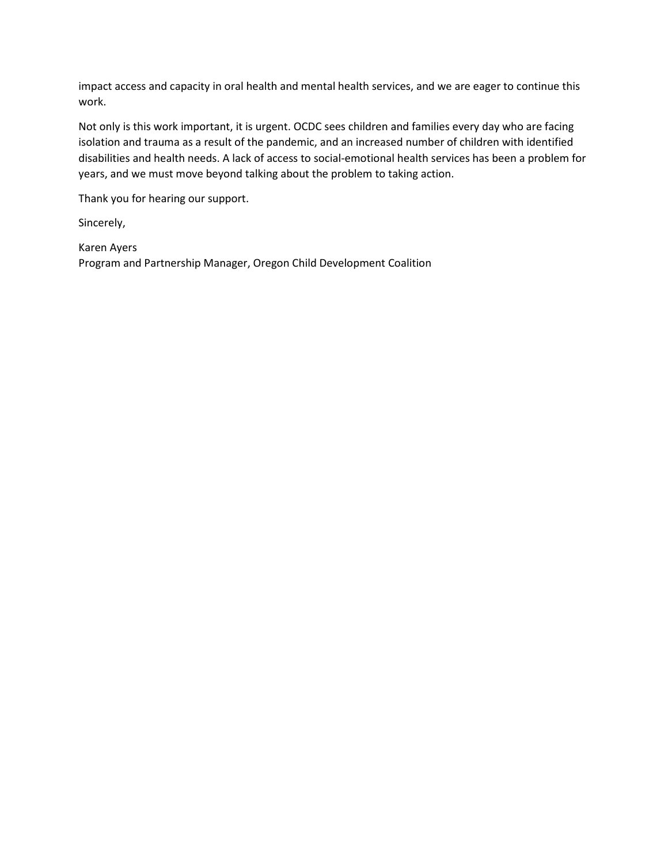impact access and capacity in oral health and mental health services, and we are eager to continue this work.

Not only is this work important, it is urgent. OCDC sees children and families every day who are facing isolation and trauma as a result of the pandemic, and an increased number of children with identified disabilities and health needs. A lack of access to social-emotional health services has been a problem for years, and we must move beyond talking about the problem to taking action.

Thank you for hearing our support.

Sincerely,

Karen Ayers Program and Partnership Manager, Oregon Child Development Coalition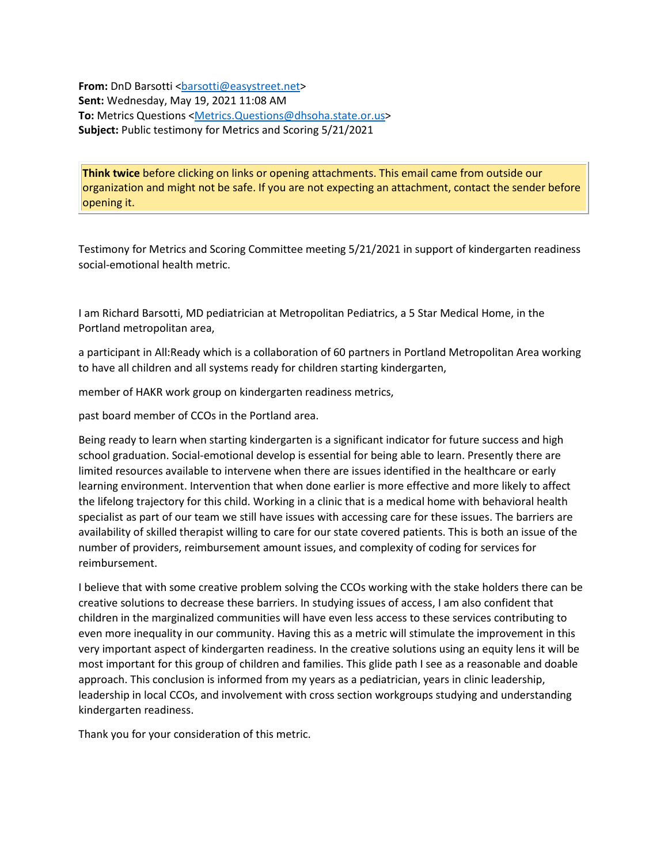**From:** DnD Barsotti <br />
deasystreet.net> **Sent:** Wednesday, May 19, 2021 11:08 AM **To:** Metrics Questions [<Metrics.Questions@dhsoha.state.or.us>](mailto:Metrics.Questions@dhsoha.state.or.us) **Subject:** Public testimony for Metrics and Scoring 5/21/2021

**Think twice** before clicking on links or opening attachments. This email came from outside our organization and might not be safe. If you are not expecting an attachment, contact the sender before opening it.

Testimony for Metrics and Scoring Committee meeting 5/21/2021 in support of kindergarten readiness social-emotional health metric.

I am Richard Barsotti, MD pediatrician at Metropolitan Pediatrics, a 5 Star Medical Home, in the Portland metropolitan area,

a participant in All:Ready which is a collaboration of 60 partners in Portland Metropolitan Area working to have all children and all systems ready for children starting kindergarten,

member of HAKR work group on kindergarten readiness metrics,

past board member of CCOs in the Portland area.

Being ready to learn when starting kindergarten is a significant indicator for future success and high school graduation. Social-emotional develop is essential for being able to learn. Presently there are limited resources available to intervene when there are issues identified in the healthcare or early learning environment. Intervention that when done earlier is more effective and more likely to affect the lifelong trajectory for this child. Working in a clinic that is a medical home with behavioral health specialist as part of our team we still have issues with accessing care for these issues. The barriers are availability of skilled therapist willing to care for our state covered patients. This is both an issue of the number of providers, reimbursement amount issues, and complexity of coding for services for reimbursement.

I believe that with some creative problem solving the CCOs working with the stake holders there can be creative solutions to decrease these barriers. In studying issues of access, I am also confident that children in the marginalized communities will have even less access to these services contributing to even more inequality in our community. Having this as a metric will stimulate the improvement in this very important aspect of kindergarten readiness. In the creative solutions using an equity lens it will be most important for this group of children and families. This glide path I see as a reasonable and doable approach. This conclusion is informed from my years as a pediatrician, years in clinic leadership, leadership in local CCOs, and involvement with cross section workgroups studying and understanding kindergarten readiness.

Thank you for your consideration of this metric.